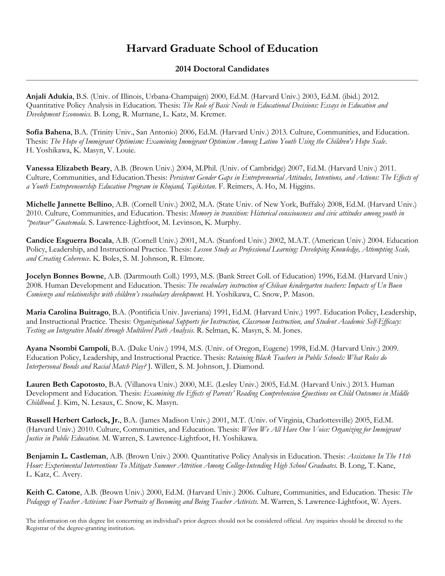## **Harvard Graduate School of Education**

## **2014 Doctoral Candidates**

**Anjali Adukia**, B.S. (Univ. of Illinois, Urbana-Champaign) 2000, Ed.M. (Harvard Univ.) 2003, Ed.M. (ibid.) 2012. Quantitative Policy Analysis in Education. Thesis: *The Role of Basic Needs in Educational Decisions: Essays in Education and Development Economics.* B. Long, R. Murnane, L. Katz, M. Kremer.

**Sofía Bahena**, B.A. (Trinity Univ., San Antonio) 2006, Ed.M. (Harvard Univ.) 2013. Culture, Communities, and Education. Thesis: *The Hope of Immigrant Optimism: Examining Immigrant Optimism Among Latino Youth Using the Children's Hope Scale*. H. Yoshikawa, K. Masyn, V. Louie.

**Vanessa Elizabeth Beary**, A.B. (Brown Univ.) 2004, M.Phil. (Univ. of Cambridge) 2007, Ed.M. (Harvard Univ.) 2011. Culture, Communities, and Education.Thesis: *Persistent Gender Gaps in Entrepreneurial Attitudes, Intentions, and Actions: The Effects of a Youth Entrepreneurship Education Program in Khujand, Tajikistan*. F. Reimers, A. Ho, M. Higgins.

**Michelle Jannette Bellino**, A.B. (Cornell Univ.) 2002, M.A. (State Univ. of New York, Buffalo) 2008, Ed.M. (Harvard Univ.) 2010. Culture, Communities, and Education. Thesis: *Memory in transition: Historical consciousness and civic attitudes among youth in "postwar" Guatemala*. S. Lawrence-Lightfoot, M. Levinson, K. Murphy.

**Candice Esguerra Bocala**, A.B. (Cornell Univ.) 2001, M.A. (Stanford Univ.) 2002, M.A.T. (American Univ.) 2004. Education Policy, Leadership, and Instructional Practice. Thesis: *Lesson Study as Professional Learning: Developing Knowledge, Attempting Scale, and Creating Coherence*. K. Boles, S. M. Johnson, R. Elmore.

**Jocelyn Bonnes Bowne**, A.B. (Dartmouth Coll.) 1993, M.S. (Bank Street Coll. of Education) 1996, Ed.M. (Harvard Univ.) 2008. Human Development and Education. Thesis: *The vocabulary instruction of Chilean kindergarten teachers: Impacts of Un Buen Comienzo and relationships with children's vocabulary development.* H. Yoshikawa, C. Snow, P. Mason.

**Maria Carolina Buitrago**, B.A. (Pontificia Univ. Javeriana) 1991, Ed.M. (Harvard Univ.) 1997. Education Policy, Leadership, and Instructional Practice. Thesis: *Organizational Supports for Instruction, Classroom Instruction, and Student Academic Self-Efficacy: Testing an Integrative Model through Multilevel Path Analysis.* R. Selman, K. Masyn, S. M. Jones.

**Ayana Nsombi Campoli**, B.A. (Duke Univ.) 1994, M.S. (Univ. of Oregon, Eugene) 1998, Ed.M. (Harvard Univ.) 2009. Education Policy, Leadership, and Instructional Practice. Thesis: *Retaining Black Teachers in Public Schools: What Roles do Interpersonal Bonds and Racial Match Play?* J. Willett, S. M. Johnson, J. Diamond.

**Lauren Beth Capotosto**, B.A. (Villanova Univ.) 2000, M.E. (Lesley Univ.) 2005, Ed.M. (Harvard Univ.) 2013. Human Development and Education. Thesis: *Examining the Effects of Parents' Reading Comprehension Questions on Child Outcomes in Middle Childhood.* J. Kim, N. Lesaux, C. Snow, K. Masyn.

**Russell Herbert Carlock, Jr.**, B.A. (James Madison Univ.) 2001, M.T. (Univ. of Virginia, Charlottesville) 2005, Ed.M. (Harvard Univ.) 2010. Culture, Communities, and Education. Thesis: *When We All Have One Voice: Organizing for Immigrant Justice in Public Education.* M. Warren, S. Lawrence-Lightfoot, H. Yoshikawa.

**Benjamin L. Castleman**, A.B. (Brown Univ.) 2000. Quantitative Policy Analysis in Education. Thesis: *Assistance In The 11th Hour: Experimental Interventions To Mitigate Summer Attrition Among College-Intending High School Graduates.* B. Long, T. Kane, L. Katz, C. Avery.

**Keith C. Catone**, A.B. (Brown Univ.) 2000, Ed.M. (Harvard Univ.) 2006. Culture, Communities, and Education. Thesis: *The Pedagogy of Teacher Activism: Four Portraits of Becoming and Being Teacher Activists*. M. Warren, S. Lawrence-Lightfoot, W. Ayers.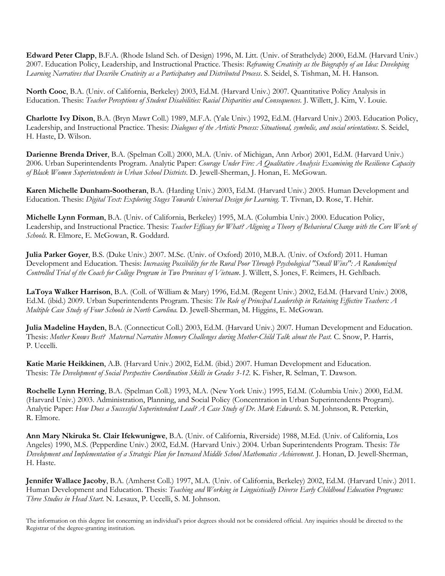**Edward Peter Clapp**, B.F.A. (Rhode Island Sch. of Design) 1996, M. Litt. (Univ. of Strathclyde) 2000, Ed.M. (Harvard Univ.) 2007. Education Policy, Leadership, and Instructional Practice. Thesis: *Reframing Creativity as the Biography of an Idea: Developing Learning Narratives that Describe Creativity as a Participatory and Distributed Process*. S. Seidel, S. Tishman, M. H. Hanson.

**North Cooc**, B.A. (Univ. of California, Berkeley) 2003, Ed.M. (Harvard Univ.) 2007. Quantitative Policy Analysis in Education. Thesis: *Teacher Perceptions of Student Disabilities: Racial Disparities and Consequences.* J. Willett, J. Kim, V. Louie.

**Charlotte Ivy Dixon**, B.A. (Bryn Mawr Coll.) 1989, M.F.A. (Yale Univ.) 1992, Ed.M. (Harvard Univ.) 2003. Education Policy, Leadership, and Instructional Practice. Thesis: *Dialogues of the Artistic Process: Situational, symbolic, and social orientations*. S. Seidel, H. Haste, D. Wilson.

**Darienne Brenda Driver**, B.A. (Spelman Coll.) 2000, M.A. (Univ. of Michigan, Ann Arbor) 2001, Ed.M. (Harvard Univ.) 2006. Urban Superintendents Program. Analytic Paper: *Courage Under Fire: A Qualitative Analysis Examining the Resilience Capacity of Black Women Superintendents in Urban School Districts*. D. Jewell-Sherman, J. Honan, E. McGowan.

**Karen Michelle Dunham-Sootheran**, B.A. (Harding Univ.) 2003, Ed.M. (Harvard Univ.) 2005. Human Development and Education. Thesis: *Digital Text: Exploring Stages Towards Universal Design for Learning.* T. Tivnan, D. Rose, T. Hehir.

**Michelle Lynn Forman**, B.A. (Univ. of California, Berkeley) 1995, M.A. (Columbia Univ.) 2000. Education Policy, Leadership, and Instructional Practice. Thesis: *Teacher Efficacy for What? Aligning a Theory of Behavioral Change with the Core Work of Schools.* R. Elmore, E. McGowan, R. Goddard.

**Julia Parker Goyer**, B.S. (Duke Univ.) 2007. M.Sc. (Univ. of Oxford) 2010, M.B.A. (Univ. of Oxford) 2011. Human Development and Education. Thesis: *Increasing Possibility for the Rural Poor Through Psychological "Small Wins": A Randomized Controlled Trial of the Coach for College Program in Two Provinces of Vietnam*. J. Willett, S. Jones, F. Reimers, H. Gehlbach.

**LaToya Walker Harrison**, B.A. (Coll. of William & Mary) 1996, Ed.M. (Regent Univ.) 2002, Ed.M. (Harvard Univ.) 2008, Ed.M. (ibid.) 2009. Urban Superintendents Program. Thesis: *The Role of Principal Leadership in Retaining Effective Teachers: A Multiple Case Study of Four Schools in North Carolina.* D. Jewell-Sherman, M. Higgins, E. McGowan.

**Julia Madeline Hayden**, B.A. (Connecticut Coll.) 2003, Ed.M. (Harvard Univ.) 2007. Human Development and Education. Thesis: *Mother Knows Best? Maternal Narrative Memory Challenges during Mother-Child Talk about the Past.* C. Snow, P. Harris, P. Uccelli.

**Katie Marie Heikkinen**, A.B. (Harvard Univ.) 2002, Ed.M. (ibid.) 2007. Human Development and Education. Thesis: *The Development of Social Perspective Coordination Skills in Grades 3-12.* K. Fisher, R. Selman, T. Dawson.

**Rochelle Lynn Herring**, B.A. (Spelman Coll.) 1993, M.A. (New York Univ.) 1995, Ed.M. (Columbia Univ.) 2000, Ed.M. (Harvard Univ.) 2003. Administration, Planning, and Social Policy (Concentration in Urban Superintendents Program). Analytic Paper: *How Does a Successful Superintendent Lead? A Case Study of Dr. Mark Edwards.* S. M. Johnson, R. Peterkin, R. Elmore.

**Ann Mary Nkiruka St. Clair Ifekwunigwe**, B.A. (Univ. of California, Riverside) 1988, M.Ed. (Univ. of California, Los Angeles) 1990, M.S. (Pepperdine Univ.) 2002, Ed.M. (Harvard Univ.) 2004. Urban Superintendents Program. Thesis: *The Development and Implementation of a Strategic Plan for Increased Middle School Mathematics Achievement.* J. Honan, D. Jewell-Sherman, H. Haste.

**Jennifer Wallace Jacoby**, B.A. (Amherst Coll.) 1997, M.A. (Univ. of California, Berkeley) 2002, Ed.M. (Harvard Univ.) 2011. Human Development and Education. Thesis: *Teaching and Working in Linguistically Diverse Early Childhood Education Programs: Three Studies in Head Start.* N. Lesaux, P. Uccelli, S. M. Johnson.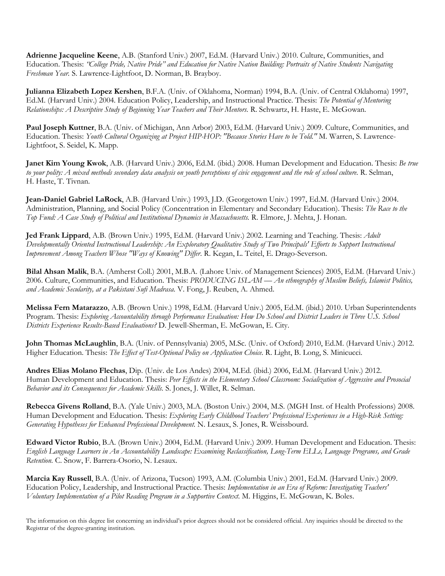**Adrienne Jacqueline Keene**, A.B. (Stanford Univ.) 2007, Ed.M. (Harvard Univ.) 2010. Culture, Communities, and Education. Thesis: *"College Pride, Native Pride" and Education for Native Nation Building: Portraits of Native Students Navigating Freshman Year.* S. Lawrence-Lightfoot, D. Norman, B. Brayboy.

**Julianna Elizabeth Lopez Kershen**, B.F.A. (Univ. of Oklahoma, Norman) 1994, B.A. (Univ. of Central Oklahoma) 1997, Ed.M. (Harvard Univ.) 2004. Education Policy, Leadership, and Instructional Practice. Thesis: *The Potential of Mentoring Relationships: A Descriptive Study of Beginning Year Teachers and Their Mentors.* R. Schwartz, H. Haste, E. McGowan.

**Paul Joseph Kuttner**, B.A. (Univ. of Michigan, Ann Arbor) 2003, Ed.M. (Harvard Univ.) 2009. Culture, Communities, and Education. Thesis: *Youth Cultural Organizing at Project HIP-HOP: "Because Stories Have to be Told."* M. Warren, S. Lawrence-Lightfoot, S. Seidel, K. Mapp.

**Janet Kim Young Kwok**, A.B. (Harvard Univ.) 2006, Ed.M. (ibid.) 2008. Human Development and Education. Thesis: *Be true to your polity: A mixed methods secondary data analysis on youth perceptions of civic engagement and the role of school culture.* R. Selman, H. Haste, T. Tivnan.

**Jean-Daniel Gabriel LaRock**, A.B. (Harvard Univ.) 1993, J.D. (Georgetown Univ.) 1997, Ed.M. (Harvard Univ.) 2004. Administration, Planning, and Social Policy (Concentration in Elementary and Secondary Education). Thesis: *The Race to the Top Fund: A Case Study of Political and Institutional Dynamics in Massachusetts.* R. Elmore, J. Mehta, J. Honan.

**Jed Frank Lippard**, A.B. (Brown Univ.) 1995, Ed.M. (Harvard Univ.) 2002. Learning and Teaching. Thesis: *Adult Developmentally Oriented Instructional Leadership: An Exploratory Qualitative Study of Two Principals' Efforts to Support Instructional Improvement Among Teachers Whose "Ways of Knowing" Differ*. R. Kegan, L. Teitel, E. Drago-Severson.

**Bilal Ahsan Malik**, B.A. (Amherst Coll.) 2001, M.B.A. (Lahore Univ. of Management Sciences) 2005, Ed.M. (Harvard Univ.) 2006. Culture, Communities, and Education. Thesis: *PRODUCING ISLAM — An ethnography of Muslim Beliefs, Islamist Politics, and Academic Secularity, at a Pakistani Sufi Madrasa.* V. Fong, J. Reuben, A. Ahmed.

**Melissa Fern Matarazzo**, A.B. (Brown Univ.) 1998, Ed.M. (Harvard Univ.) 2005, Ed.M. (ibid.) 2010. Urban Superintendents Program. Thesis: *Exploring Accountability through Performance Evaluation: How Do School and District Leaders in Three U.S. School Districts Experience Results-Based Evaluations?* D. Jewell-Sherman, E. McGowan, E. City.

**John Thomas McLaughlin**, B.A. (Univ. of Pennsylvania) 2005, M.Sc. (Univ. of Oxford) 2010, Ed.M. (Harvard Univ.) 2012. Higher Education. Thesis: *The Effect of Test-Optional Policy on Application Choice.* R. Light, B. Long, S. Minicucci.

**Andres Elias Molano Flechas**, Dip. (Univ. de Los Andes) 2004, M.Ed. (ibid.) 2006, Ed.M. (Harvard Univ.) 2012. Human Development and Education. Thesis: *Peer Effects in the Elementary School Classroom: Socialization of Aggressive and Prosocial Behavior and its Consequences for Academic Skills.* S. Jones, J. Willet, R. Selman.

**Rebecca Givens Rolland**, B.A. (Yale Univ.) 2003, M.A. (Boston Univ.) 2004, M.S. (MGH Inst. of Health Professions) 2008. Human Development and Education. Thesis: *Exploring Early Childhood Teachers' Professional Experiences in a High-Risk Setting: Generating Hypotheses for Enhanced Professional Development.* N. Lesaux, S. Jones, R. Weissbourd.

**Edward Victor Rubio**, B.A. (Brown Univ.) 2004, Ed.M. (Harvard Univ.) 2009. Human Development and Education. Thesis: *English Language Learners in An Accountability Landscape: Examining Reclassification, Long-Term ELLs, Language Programs, and Grade Retention.* C. Snow, F. Barrera-Osorio, N. Lesaux.

**Marcia Kay Russell**, B.A. (Univ. of Arizona, Tucson) 1993, A.M. (Columbia Univ.) 2001, Ed.M. (Harvard Univ.) 2009. Education Policy, Leadership, and Instructional Practice. Thesis: *Implementation in an Era of Reform: Investigating Teachers' Voluntary Implementation of a Pilot Reading Program in a Supportive Context.* M. Higgins, E. McGowan, K. Boles.